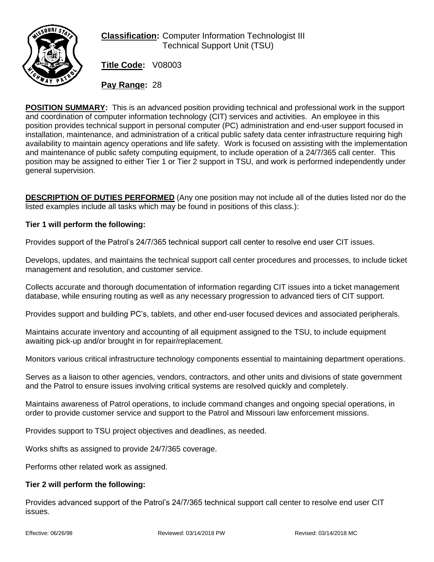

# **Classification:** Computer Information Technologist III Technical Support Unit (TSU)

**Title Code:** V08003

**Pay Range:** 28

**POSITION SUMMARY:** This is an advanced position providing technical and professional work in the support and coordination of computer information technology (CIT) services and activities. An employee in this position provides technical support in personal computer (PC) administration and end-user support focused in installation, maintenance, and administration of a critical public safety data center infrastructure requiring high availability to maintain agency operations and life safety. Work is focused on assisting with the implementation and maintenance of public safety computing equipment, to include operation of a 24/7/365 call center. This position may be assigned to either Tier 1 or Tier 2 support in TSU, and work is performed independently under general supervision.

**DESCRIPTION OF DUTIES PERFORMED** (Any one position may not include all of the duties listed nor do the listed examples include all tasks which may be found in positions of this class.):

## **Tier 1 will perform the following:**

Provides support of the Patrol's 24/7/365 technical support call center to resolve end user CIT issues.

Develops, updates, and maintains the technical support call center procedures and processes, to include ticket management and resolution, and customer service.

Collects accurate and thorough documentation of information regarding CIT issues into a ticket management database, while ensuring routing as well as any necessary progression to advanced tiers of CIT support.

Provides support and building PC's, tablets, and other end-user focused devices and associated peripherals.

Maintains accurate inventory and accounting of all equipment assigned to the TSU, to include equipment awaiting pick-up and/or brought in for repair/replacement.

Monitors various critical infrastructure technology components essential to maintaining department operations.

Serves as a liaison to other agencies, vendors, contractors, and other units and divisions of state government and the Patrol to ensure issues involving critical systems are resolved quickly and completely.

Maintains awareness of Patrol operations, to include command changes and ongoing special operations, in order to provide customer service and support to the Patrol and Missouri law enforcement missions.

Provides support to TSU project objectives and deadlines, as needed.

Works shifts as assigned to provide 24/7/365 coverage.

Performs other related work as assigned.

#### **Tier 2 will perform the following:**

Provides advanced support of the Patrol's 24/7/365 technical support call center to resolve end user CIT issues.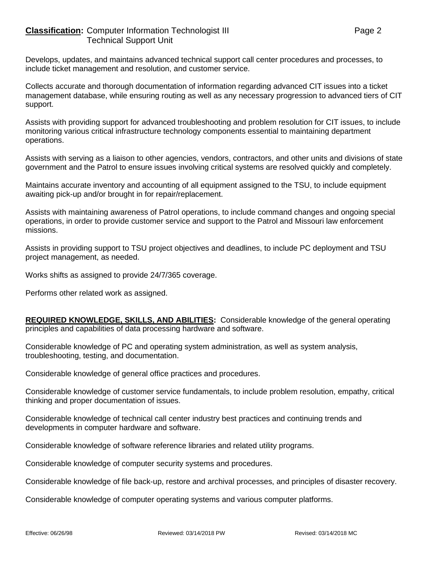### **Classification:** Computer Information Technologist III **Classification:** Page 2 Technical Support Unit

Develops, updates, and maintains advanced technical support call center procedures and processes, to include ticket management and resolution, and customer service.

Collects accurate and thorough documentation of information regarding advanced CIT issues into a ticket management database, while ensuring routing as well as any necessary progression to advanced tiers of CIT support.

Assists with providing support for advanced troubleshooting and problem resolution for CIT issues, to include monitoring various critical infrastructure technology components essential to maintaining department operations.

Assists with serving as a liaison to other agencies, vendors, contractors, and other units and divisions of state government and the Patrol to ensure issues involving critical systems are resolved quickly and completely.

Maintains accurate inventory and accounting of all equipment assigned to the TSU, to include equipment awaiting pick-up and/or brought in for repair/replacement.

Assists with maintaining awareness of Patrol operations, to include command changes and ongoing special operations, in order to provide customer service and support to the Patrol and Missouri law enforcement missions.

Assists in providing support to TSU project objectives and deadlines, to include PC deployment and TSU project management, as needed.

Works shifts as assigned to provide 24/7/365 coverage.

Performs other related work as assigned.

**REQUIRED KNOWLEDGE, SKILLS, AND ABILITIES:** Considerable knowledge of the general operating principles and capabilities of data processing hardware and software.

Considerable knowledge of PC and operating system administration, as well as system analysis, troubleshooting, testing, and documentation.

Considerable knowledge of general office practices and procedures.

Considerable knowledge of customer service fundamentals, to include problem resolution, empathy, critical thinking and proper documentation of issues.

Considerable knowledge of technical call center industry best practices and continuing trends and developments in computer hardware and software.

Considerable knowledge of software reference libraries and related utility programs.

Considerable knowledge of computer security systems and procedures.

Considerable knowledge of file back-up, restore and archival processes, and principles of disaster recovery.

Considerable knowledge of computer operating systems and various computer platforms.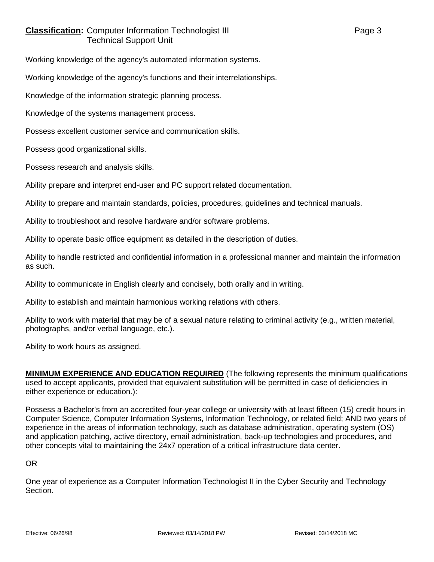# **Classification:** Computer Information Technologist III **Classification:** Page 3 Technical Support Unit

Working knowledge of the agency's automated information systems.

Working knowledge of the agency's functions and their interrelationships.

Knowledge of the information strategic planning process.

Knowledge of the systems management process.

Possess excellent customer service and communication skills.

Possess good organizational skills.

Possess research and analysis skills.

Ability prepare and interpret end-user and PC support related documentation.

Ability to prepare and maintain standards, policies, procedures, guidelines and technical manuals.

Ability to troubleshoot and resolve hardware and/or software problems.

Ability to operate basic office equipment as detailed in the description of duties.

Ability to handle restricted and confidential information in a professional manner and maintain the information as such.

Ability to communicate in English clearly and concisely, both orally and in writing.

Ability to establish and maintain harmonious working relations with others.

Ability to work with material that may be of a sexual nature relating to criminal activity (e.g., written material, photographs, and/or verbal language, etc.).

Ability to work hours as assigned.

**MINIMUM EXPERIENCE AND EDUCATION REQUIRED** (The following represents the minimum qualifications used to accept applicants, provided that equivalent substitution will be permitted in case of deficiencies in either experience or education.):

Possess a Bachelor's from an accredited four-year college or university with at least fifteen (15) credit hours in Computer Science, Computer Information Systems, Information Technology, or related field; AND two years of experience in the areas of information technology, such as database administration, operating system (OS) and application patching, active directory, email administration, back-up technologies and procedures, and other concepts vital to maintaining the 24x7 operation of a critical infrastructure data center.

OR

One year of experience as a Computer Information Technologist II in the Cyber Security and Technology Section.